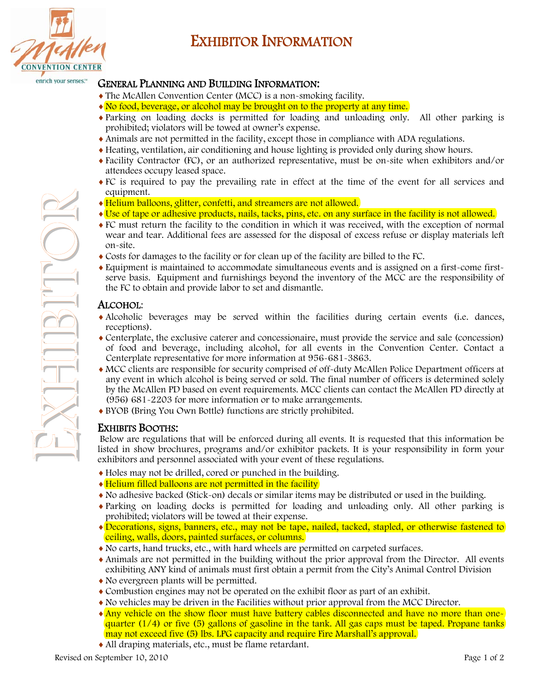

 $\Box$ 

 $\frac{1}{2}$ 

H

 $\overline{\phantom{0}}$ 

 $\frac{1}{2}$ 

 $\overline{\phantom{0}}$ 

 $\overline{\phantom{0}}$ 

O

R

# EXHIBITOR INFORMATION

## GENERAL PLANNING AND BUILDING INFORMATION:

- The McAllen Convention Center (MCC) is a non-smoking facility.
- $\triangle$  No food, beverage, or alcohol may be brought on to the property at any time.
- Parking on loading docks is permitted for loading and unloading only. All other parking is prohibited; violators will be towed at owner's expense.
- Animals are not permitted in the facility, except those in compliance with ADA regulations.
- Heating, ventilation, air conditioning and house lighting is provided only during show hours.
- Facility Contractor (FC), or an authorized representative, must be on-site when exhibitors and/or attendees occupy leased space.
- FC is required to pay the prevailing rate in effect at the time of the event for all services and equipment.
- Helium balloons, glitter, confetti, and streamers are not allowed.
- Use of tape or adhesive products, nails, tacks, pins, etc. on any surface in the facility is not allowed.
- FC must return the facility to the condition in which it was received, with the exception of normal wear and tear. Additional fees are assessed for the disposal of excess refuse or display materials left on-site.
- Costs for damages to the facility or for clean up of the facility are billed to the FC.
- Equipment is maintained to accommodate simultaneous events and is assigned on a first-come firstserve basis. Equipment and furnishings beyond the inventory of the MCC are the responsibility of the FC to obtain and provide labor to set and dismantle.

## ALCOHOL:

- Alcoholic beverages may be served within the facilities during certain events (i.e. dances, receptions).
- Centerplate, the exclusive caterer and concessionaire, must provide the service and sale (concession) of food and beverage, including alcohol, for all events in the Convention Center. Contact a Centerplate representative for more information at 956-681-3863.
- MCC clients are responsible for security comprised of off-duty McAllen Police Department officers at any event in which alcohol is being served or sold. The final number of officers is determined solely by the McAllen PD based on event requirements. MCC clients can contact the McAllen PD directly at (956) 681-2203 for more information or to make arrangements.
- BYOB (Bring You Own Bottle) functions are strictly prohibited.

## EXHIBITS BOOTHS:

Below are regulations that will be enforced during all events. It is requested that this information be listed in show brochures, programs and/or exhibitor packets. It is your responsibility in form your exhibitors and personnel associated with your event of these regulations.

- Holes may not be drilled, cored or punched in the building.
- Helium filled balloons are not permitted in the facility
- No adhesive backed (Stick-on) decals or similar items may be distributed or used in the building.
- Parking on loading docks is permitted for loading and unloading only. All other parking is prohibited; violators will be towed at their expense.
- Decorations, signs, banners, etc., may not be tape, nailed, tacked, stapled, or otherwise fastened to ceiling, walls, doors, painted surfaces, or columns.
- No carts, hand trucks, etc., with hard wheels are permitted on carpeted surfaces.
- Animals are not permitted in the building without the prior approval from the Director. All events exhibiting ANY kind of animals must first obtain a permit from the City's Animal Control Division
- No evergreen plants will be permitted.
- Combustion engines may not be operated on the exhibit floor as part of an exhibit.
- No vehicles may be driven in the Facilities without prior approval from the MCC Director.
- Any vehicle on the show floor must have battery cables disconnected and have no more than onequarter  $(1/4)$  or five  $(5)$  gallons of gasoline in the tank. All gas caps must be taped. Propane tanks may not exceed five (5) lbs. LPG capacity and require Fire Marshall's approval.
- All draping materials, etc., must be flame retardant.